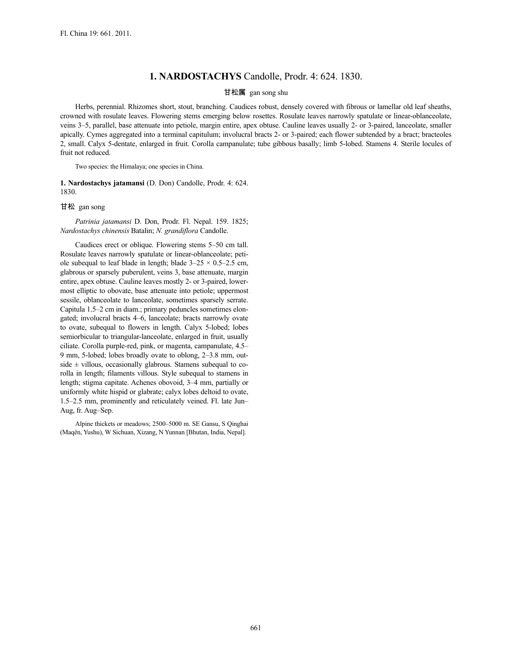## **1. NARDOSTACHYS** Candolle, Prodr. 4: 624. 1830.

## 甘松属 gan song shu

Herbs, perennial. Rhizomes short, stout, branching. Caudices robust, densely covered with fibrous or lamellar old leaf sheaths, crowned with rosulate leaves. Flowering stems emerging below rosettes. Rosulate leaves narrowly spatulate or linear-oblanceolate, veins 3–5, parallel, base attenuate into petiole, margin entire, apex obtuse. Cauline leaves usually 2- or 3-paired, lanceolate, smaller apically. Cymes aggregated into a terminal capitulum; involucral bracts 2- or 3-paired; each flower subtended by a bract; bracteoles 2, small. Calyx 5-dentate, enlarged in fruit. Corolla campanulate; tube gibbous basally; limb 5-lobed. Stamens 4. Sterile locules of fruit not reduced.

Two species: the Himalaya; one species in China.

**1. Nardostachys jatamansi** (D. Don) Candolle, Prodr. 4: 624. 1830.

## 甘松 gan song

*Patrinia jatamansi* D. Don, Prodr. Fl. Nepal. 159. 1825; *Nardostachys chinensis* Batalin; *N. grandiflora* Candolle.

Caudices erect or oblique. Flowering stems 5–50 cm tall. Rosulate leaves narrowly spatulate or linear-oblanceolate; petiole subequal to leaf blade in length; blade  $3-25 \times 0.5-2.5$  cm, glabrous or sparsely puberulent, veins 3, base attenuate, margin entire, apex obtuse. Cauline leaves mostly 2- or 3-paired, lowermost elliptic to obovate, base attenuate into petiole; uppermost sessile, oblanceolate to lanceolate, sometimes sparsely serrate. Capitula 1.5–2 cm in diam.; primary peduncles sometimes elongated; involucral bracts 4–6, lanceolate; bracts narrowly ovate to ovate, subequal to flowers in length. Calyx 5-lobed; lobes semiorbicular to triangular-lanceolate, enlarged in fruit, usually ciliate. Corolla purple-red, pink, or magenta, campanulate, 4.5– 9 mm, 5-lobed; lobes broadly ovate to oblong, 2–3.8 mm, outside  $\pm$  villous, occasionally glabrous. Stamens subequal to corolla in length; filaments villous. Style subequal to stamens in length; stigma capitate. Achenes obovoid, 3–4 mm, partially or uniformly white hispid or glabrate; calyx lobes deltoid to ovate, 1.5–2.5 mm, prominently and reticulately veined. Fl. late Jun– Aug, fr. Aug–Sep.

Alpine thickets or meadows; 2500–5000 m. SE Gansu, S Qinghai (Maqên, Yushu), W Sichuan, Xizang, N Yunnan [Bhutan, India, Nepal].